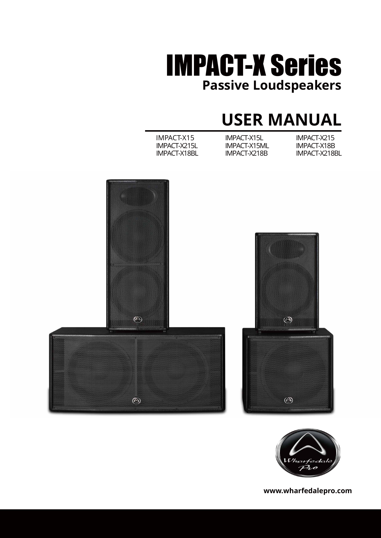

## **USER MANUAL**

| IMPACT-X15          | IMPACT-X15L  | IMPACT-X215   |
|---------------------|--------------|---------------|
| IMPACT-X215L        | IMPACT-X15ML | IMPACT-X18B   |
| <b>IMPACT-X18BL</b> | IMPACT-X218B | IMPACT-X218BL |
|                     |              |               |





**www.wharfedalepro.com**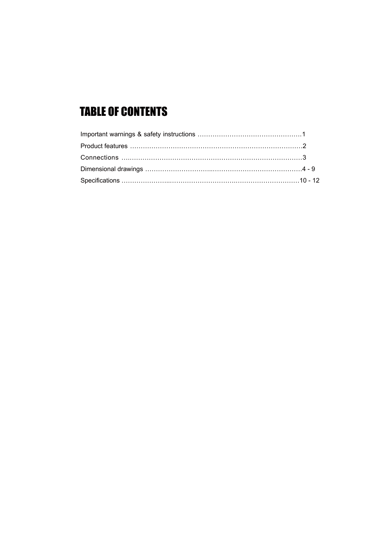### TABLE OF CONTENTS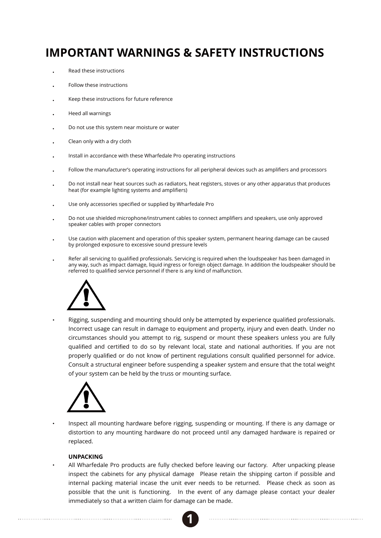### **IMPORTANT WARNINGS & SAFETY INSTRUCTIONS**

- Read these instructions
- Follow these instructions
- Keep these instructions for future reference
- Heed all warnings
- Do not use this system near moisture or water
- Clean only with a dry cloth
- Install in accordance with these Wharfedale Pro operating instructions
- Follow the manufacturer's operating instructions for all peripheral devices such as amplifiers and processors
- Do not install near heat sources such as radiators, heat registers, stoves or any other apparatus that produces heat (for example lighting systems and amplifiers)
- Use only accessories specified or supplied by Wharfedale Pro
- Do not use shielded microphone/instrument cables to connect amplifiers and speakers, use only approved speaker cables with proper connectors
- Use caution with placement and operation of this speaker system, permanent hearing damage can be caused by prolonged exposure to excessive sound pressure levels
- Refer all servicing to qualified professionals. Servicing is required when the loudspeaker has been damaged in any way, such as impact damage, liquid ingress or foreign object damage. In addition the loudspeaker should be referred to qualified service personnel if there is any kind of malfunction.



Rigging, suspending and mounting should only be attempted by experience qualified professionals. Incorrect usage can result in damage to equipment and property, injury and even death. Under no circumstances should you attempt to rig, suspend or mount these speakers unless you are fully qualified and certified to do so by relevant local, state and national authorities. If you are not properly qualified or do not know of pertinent regulations consult qualified personnel for advice. Consult a structural engineer before suspending a speaker system and ensure that the total weight of your system can be held by the truss or mounting surface.



Inspect all mounting hardware before rigging, suspending or mounting. If there is any damage or distortion to any mounting hardware do not proceed until any damaged hardware is repaired or replaced.

#### **UNPACKING**

All Wharfedale Pro products are fully checked before leaving our factory. After unpacking please inspect the cabinets for any physical damage Please retain the shipping carton if possible and internal packing material incase the unit ever needs to be returned. Please check as soon as possible that the unit is functioning. In the event of any damage please contact your dealer immediately so that a written claim for damage can be made.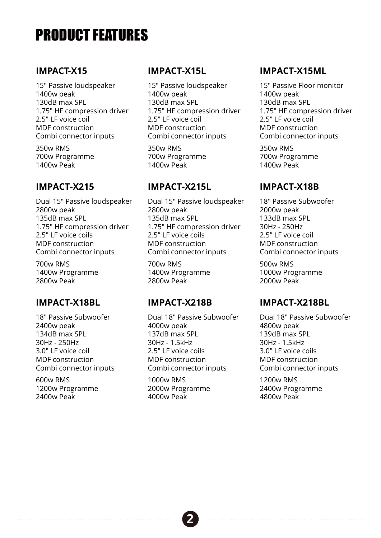## PRODUCT FEATURES

#### **IMPACT-X15**

15" Passive loudspeaker 1400w peak 130dB max SPL 1.75" HF compression driver 2.5" LF voice coil MDF construction Combi connector inputs

350w RMS 700w Programme 1400w Peak

### **IMPACT-X215**

Dual 15" Passive loudspeaker 2800w peak 135dB max SPL 1.75" HF compression driver 2.5" LF voice coils MDF construction Combi connector inputs

700w RMS 1400w Programme 2800w Peak

### **IMPACT-X18BL**

18" Passive Subwoofer 2400w peak 134dB max SPL 30Hz - 250Hz 3.0" LF voice coil MDF construction Combi connector inputs

600w RMS 1200w Programme 2400w Peak

### **IMPACT-X15L**

15" Passive loudspeaker 1400w peak 130dB max SPL 1.75" HF compression driver 2.5" LF voice coil MDF construction Combi connector inputs

350w RMS 700w Programme 1400w Peak

### **IMPACT-X215L**

Dual 15" Passive loudspeaker 2800w peak 135dB max SPL 1.75" HF compression driver 2.5" LF voice coils MDF construction Combi connector inputs

700w RMS 1400w Programme 2800w Peak

#### **IMPACT-X218B**

Dual 18" Passive Subwoofer 4000w peak 137dB max SPL 30Hz - 1.5kHz 2.5" LF voice coils MDF construction Combi connector inputs

1000w RMS 2000w Programme 4000w Peak

### **IMPACT-X15ML**

15" Passive Floor monitor 1400w peak 130dB max SPL 1.75" HF compression driver 2.5" LF voice coil MDF construction Combi connector inputs

350w RMS 700w Programme 1400w Peak

### **IMPACT-X18B**

18" Passive Subwoofer 2000w peak 133dB max SPL 30Hz - 250Hz 2.5" LF voice coil MDF construction Combi connector inputs

500w RMS 1000w Programme 2000w Peak

#### **IMPACT-X218BL**

Dual 18" Passive Subwoofer 4800w peak 139dB max SPL 30Hz - 1.5kHz 3.0" LF voice coils MDF construction Combi connector inputs

1200w RMS 2400w Programme 4800w Peak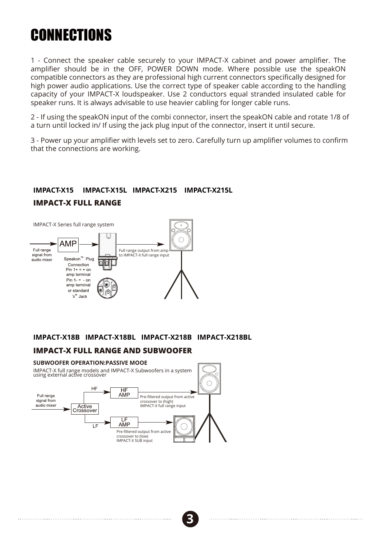## **CONNECTIONS**

1 - Connect the speaker cable securely to your IMPACT-X cabinet and power amplifier. The amplifier should be in the OFF, POWER DOWN mode. Where possible use the speakON compatible connectors as they are professional high current connectors specifically designed for high power audio applications. Use the correct type of speaker cable according to the handling capacity of your IMPACT-X loudspeaker. Use 2 conductors equal stranded insulated cable for speaker runs. It is always advisable to use heavier cabling for longer cable runs.

2 - If using the speakON input of the combi connector, insert the speakON cable and rotate 1/8 of a turn until locked in/ If using the jack plug input of the connector, insert it until secure.

3 - Power up your amplifier with levels set to zero. Carefully turn up amplifier volumes to confirm that the connections are working.

#### **IMPACT-X15 IMPACT-X15L IMPACT-X215 IMPACT-X215L IMPACT-X FULL RANGE**



#### **IMPACT-X18B IMPACT-X18BL IMPACT-X218B IMPACT-X218BL**

#### **IMPACT-X FULL RANGE AND SUBWOOFER**

#### **SUBWOOFER OPERATION:PASSIVE MOOE**

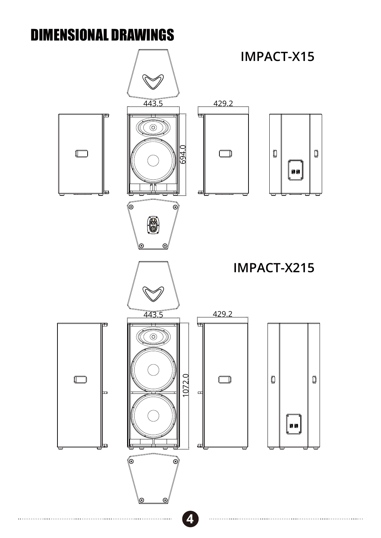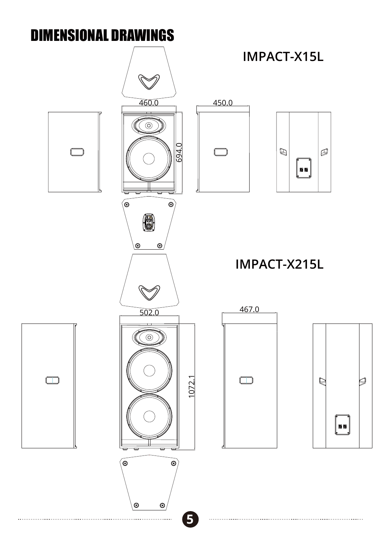

**5**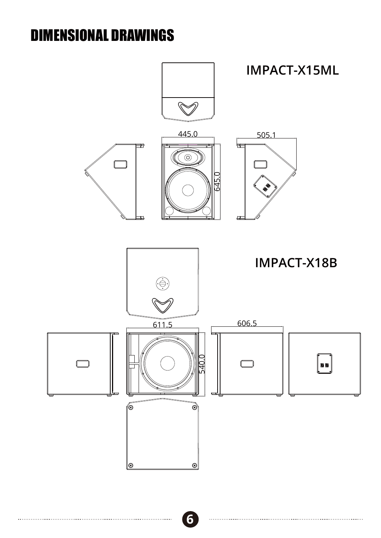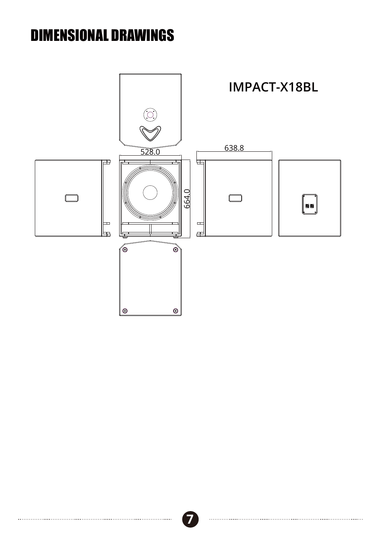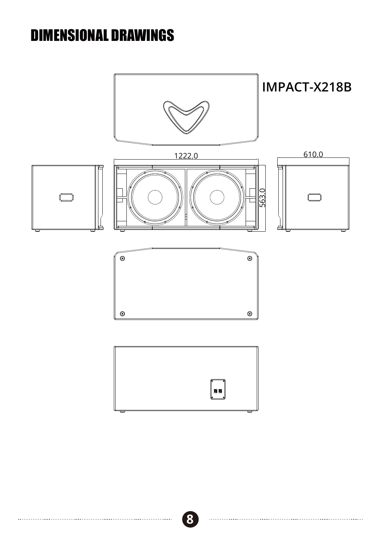

**8**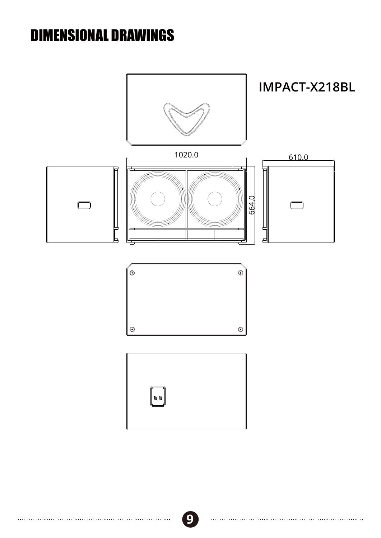

**9**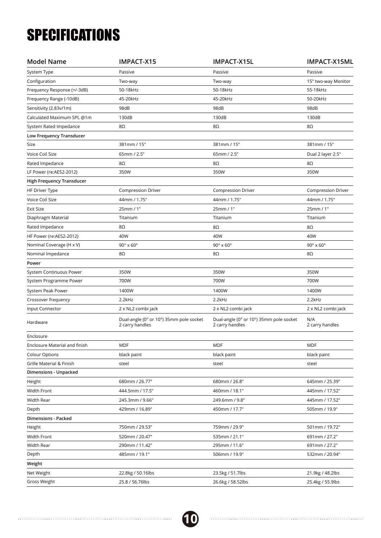# **SPECIFICATIONS**

| <b>Model Name</b>                | <b>IMPACT-X15</b>                                          | IMPACT-X15L                                                | IMPACT-X15ML               |
|----------------------------------|------------------------------------------------------------|------------------------------------------------------------|----------------------------|
| System Type                      | Passive                                                    | Passive                                                    | Passive                    |
| Configuration                    | Two-way                                                    | Two-way                                                    | 15" two-way Monitor        |
| Frequency Response (+/-3dB)      | 50-18kHz                                                   | 50-18kHz                                                   | 55-18kHz                   |
| Frequency Range (-10dB)          | 45-20kHz                                                   | 45-20kHz                                                   | 50-20kHz                   |
| Sensitivity (2.83v/1m)           | 98dB                                                       | 98dB                                                       | 98dB                       |
| Calculated Maximum SPL @1m       | 130dB                                                      | 130dB                                                      | 130dB                      |
| System Rated Impedance           | 8Ω                                                         | 8Ω                                                         | 8Ω                         |
| Low Frequency Transducer         |                                                            |                                                            |                            |
| Size                             | 381mm / 15"                                                | 381mm / 15"                                                | 381mm / 15"                |
| Voice Coil Size                  | 65mm / 2.5"                                                | 65mm / 2.5"                                                | Dual 2 layer 2.5"          |
| Rated Impedance                  | $8\Omega$                                                  | 8Ω                                                         | 8Ω                         |
| LF Power (re:AES2-2012)          | 350W                                                       | 350W                                                       | 350W                       |
| <b>High Frequency Transducer</b> |                                                            |                                                            |                            |
| <b>HF Driver Type</b>            | <b>Compression Driver</b>                                  | <b>Compression Driver</b>                                  | <b>Compression Driver</b>  |
| Voice Coil Size                  | 44mm / 1.75"                                               | 44mm / 1.75"                                               | 44mm / 1.75"               |
| <b>Exit Size</b>                 | 25mm / 1"                                                  | 25mm / 1"                                                  | 25mm / 1"                  |
| Diaphragm Material               | Titanium                                                   | Titanium                                                   | Titanium                   |
| Rated Impedance                  | 8Ω                                                         | 8Ω                                                         | 8Ω                         |
| HF Power (re:AES2-2012)          | 40W                                                        | 40W                                                        | 40W                        |
| Nominal Coverage (H x V)         | $90^\circ \times 60^\circ$                                 | $90^\circ \times 60^\circ$                                 | $90^\circ \times 60^\circ$ |
| Nominal Impedance                | 8Ω                                                         | 8Ω                                                         | 8Ω                         |
| Power                            |                                                            |                                                            |                            |
| System Continuous Power          | 350W                                                       | 350W                                                       | 350W                       |
| System Programme Power           | 700W                                                       | 700W                                                       | 700W                       |
| System Peak Power                | 1400W                                                      | 1400W                                                      | 1400W                      |
| Crossover frequency              | 2.2kHz                                                     | 2.2kHz                                                     | 2.2kHz                     |
| Input Connector                  | 2 x NL2 combi jack                                         | 2 x NL2 combi jack                                         | 2 x NL2 combi jack         |
| Hardware                         | Dual-angle (0° or 10°) 35mm pole socket<br>2 carry handles | Dual-angle (0° or 10°) 35mm pole socket<br>2 carry handles | N/A<br>2 carry handles     |
| Enclosure                        |                                                            |                                                            |                            |
| Enclosure Material and finish    | <b>MDF</b>                                                 | <b>MDF</b>                                                 | <b>MDF</b>                 |
| <b>Colour Options</b>            | black paint                                                | black paint                                                | black paint                |
| Grille Material & Finish         | steel                                                      | steel                                                      | steel                      |
| Dimensions - Unpacked            |                                                            |                                                            |                            |
| Height                           | 680mm / 26.77"                                             | 680mm / 26.8"                                              | 645mm / 25.39"             |
| Width Front                      | 444.5mm / 17.5"                                            | 460mm / 18.1"                                              | 445mm / 17.52"             |
| Width Rear                       | 245.3mm / 9.66"                                            | 249.6mm / 9.8"                                             | 445mm / 17.52"             |
| Depth                            | 429mm / 16.89"                                             | 450mm / 17.7"                                              | 505mm / 19.9"              |
| Dimensions - Packed              |                                                            |                                                            |                            |
| Height                           | 750mm / 29.53"                                             | 759mm / 29.9"                                              | 501mm / 19.72"             |
| Width Front                      | 520mm / 20.47"                                             | 535mm / 21.1"                                              | 691mm / 27.2"              |
| Width Rear                       | 290mm / 11.42"                                             | 295mm / 11.6"                                              | 691mm / 27.2"              |
| Depth                            | 485mm / 19.1"                                              | 506mm / 19.9"                                              | 532mm / 20.94"             |
| Weight                           |                                                            |                                                            |                            |
| Net Weight                       | 22.8kg / 50.16lbs                                          | 23.5kg / 51.7lbs                                           | 21.9kg / 48.2lbs           |
| Gross Weight                     | 25.8 / 56.76lbs                                            | 26.6kg / 58.52lbs                                          | 25.4kg / 55.9lbs           |

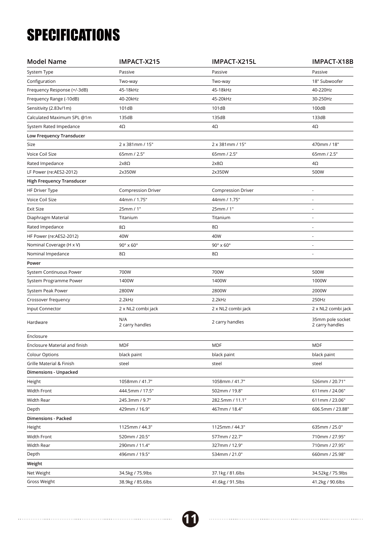# **SPECIFICATIONS**

| <b>Model Name</b>                | IMPACT-X215                | IMPACT-X215L               | IMPACT-X18B                         |
|----------------------------------|----------------------------|----------------------------|-------------------------------------|
| System Type                      | Passive                    | Passive                    | Passive                             |
| Configuration                    | Two-way                    | Two-way                    | 18" Subwoofer                       |
| Frequency Response (+/-3dB)      | 45-18kHz                   | 45-18kHz                   | 40-220Hz                            |
| Frequency Range (-10dB)          | 40-20kHz                   | 45-20kHz                   | 30-250Hz                            |
| Sensitivity (2.83v/1m)           | 101dB                      | 101dB                      | 100dB                               |
| Calculated Maximum SPL @1m       | 135dB                      | 135dB                      | 133dB                               |
| System Rated Impedance           | 4Ω                         | 4Ω                         | $4\Omega$                           |
| Low Frequency Transducer         |                            |                            |                                     |
| Size                             | 2 x 381mm / 15"            | 2 x 381mm / 15"            | 470mm / 18"                         |
| Voice Coil Size                  | 65mm / 2.5"                | 65mm / 2.5"                | 65mm / 2.5"                         |
| Rated Impedance                  | $2x8\Omega$                | $2x8\Omega$                | $4\Omega$                           |
| LF Power (re:AES2-2012)          | 2x350W                     | 2x350W                     | 500W                                |
| <b>High Frequency Transducer</b> |                            |                            |                                     |
| <b>HF Driver Type</b>            | <b>Compression Driver</b>  | <b>Compression Driver</b>  | ÷,                                  |
| Voice Coil Size                  | 44mm / 1.75"               | 44mm / 1.75"               |                                     |
| <b>Exit Size</b>                 | 25mm / 1"                  | 25mm / 1"                  |                                     |
| Diaphragm Material               | Titanium                   | Titanium                   |                                     |
| Rated Impedance                  | 8Ω                         | 8Ω                         |                                     |
| HF Power (re:AES2-2012)          | 40W                        | 40W                        | $\sim$                              |
| Nominal Coverage (H x V)         | $90^\circ \times 60^\circ$ | $90^\circ \times 60^\circ$ |                                     |
| Nominal Impedance                | 8Ω                         | 8Ω                         |                                     |
| Power                            |                            |                            |                                     |
| System Continuous Power          | 700W                       | 700W                       | 500W                                |
| System Programme Power           | 1400W                      | 1400W                      | 1000W                               |
| System Peak Power                | 2800W                      | 2800W                      | 2000W                               |
| Crossover frequency              | 2.2kHz                     | 2.2kHz                     | 250Hz                               |
| Input Connector                  | 2 x NL2 combi jack         | 2 x NL2 combi jack         | 2 x NL2 combi jack                  |
| Hardware                         | N/A<br>2 carry handles     | 2 carry handles            | 35mm pole socket<br>2 carry handles |
| Enclosure                        |                            |                            |                                     |
| Enclosure Material and finish    | <b>MDF</b>                 | <b>MDF</b>                 | <b>MDF</b>                          |
| <b>Colour Options</b>            | black paint                | black paint                | black paint                         |
| Grille Material & Finish         | steel                      | steel                      | steel                               |
| Dimensions - Unpacked            |                            |                            |                                     |
| Height                           | 1058mm / 41.7"             | 1058mm / 41.7"             | 526mm / 20.71"                      |
| Width Front                      | 444.5mm / 17.5"            | 502mm / 19.8"              | 611mm / 24.06"                      |
| Width Rear                       | 245.3mm / 9.7"             | 282.5mm / 11.1"            | 611mm / 23.06"                      |
| Depth                            | 429mm / 16.9"              | 467mm / 18.4"              | 606.5mm / 23.88"                    |
| <b>Dimensions - Packed</b>       |                            |                            |                                     |
| Height                           | 1125mm / 44.3"             | 1125mm / 44.3"             | 635mm / 25.0"                       |
| Width Front                      | 520mm / 20.5"              | 577mm / 22.7"              | 710mm / 27.95"                      |
| Width Rear                       | 290mm / 11.4"              | 327mm / 12.9"              | 710mm / 27.95"                      |
| Depth                            | 496mm / 19.5"              | 534mm / 21.0"              | 660mm / 25.98"                      |
| Weight                           |                            |                            |                                     |
| Net Weight                       | 34.5kg / 75.9lbs           | 37.1kg / 81.6lbs           | 34.52kg / 75.9lbs                   |
| Gross Weight                     | 38.9kg / 85.6lbs           | 41.6kg / 91.5lbs           | 41.2kg / 90.6lbs                    |

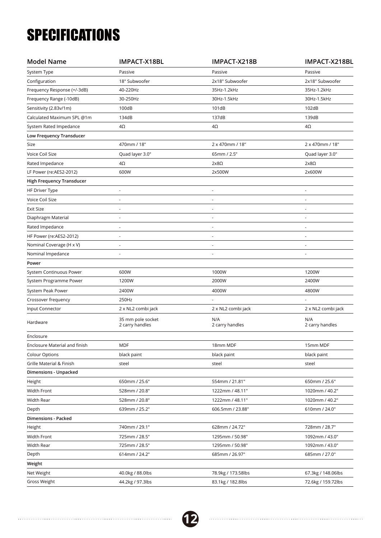# **SPECIFICATIONS**

| <b>Model Name</b>                | IMPACT-X18BL                         | IMPACT-X218B           | IMPACT-X218BL          |
|----------------------------------|--------------------------------------|------------------------|------------------------|
| System Type                      | Passive                              | Passive                | Passive                |
| Configuration                    | 18" Subwoofer                        | 2x18" Subwoofer        | 2x18" Subwoofer        |
| Frequency Response (+/-3dB)      | 40-220Hz                             | 35Hz-1.2kHz            | 35Hz-1.2kHz            |
| Frequency Range (-10dB)          | 30-250Hz                             | 30Hz-1.5kHz            | 30Hz-1.5kHz            |
| Sensitivity (2.83v/1m)           | 100dB                                | 101dB                  | 102dB                  |
| Calculated Maximum SPL @1m       | 134dB                                | 137dB                  | 139dB                  |
| System Rated Impedance           | 4Ω                                   | 4Ω                     | 4Ω                     |
| Low Frequency Transducer         |                                      |                        |                        |
| Size                             | 470mm / 18"                          | 2 x 470mm / 18"        | 2 x 470mm / 18"        |
| Voice Coil Size                  | Quad layer 3.0"                      | 65mm / 2.5"            | Quad layer 3.0"        |
| Rated Impedance                  | 4Ω                                   | $2x8\Omega$            | $2x8\Omega$            |
| LF Power (re:AES2-2012)          | 600W                                 | 2x500W                 | 2x600W                 |
| <b>High Frequency Transducer</b> |                                      |                        |                        |
| HF Driver Type                   |                                      |                        |                        |
| Voice Coil Size                  |                                      |                        |                        |
| <b>Exit Size</b>                 |                                      |                        |                        |
| Diaphragm Material               |                                      |                        |                        |
| Rated Impedance                  |                                      |                        |                        |
| HF Power (re:AES2-2012)          |                                      |                        |                        |
| Nominal Coverage (H x V)         |                                      |                        |                        |
| Nominal Impedance                |                                      |                        |                        |
| Power                            |                                      |                        |                        |
| System Continuous Power          | 600W                                 | 1000W                  | 1200W                  |
| System Programme Power           | 1200W                                | 2000W                  | 2400W                  |
| System Peak Power                | 2400W                                | 4000W                  | 4800W                  |
| Crossover frequency              | 250Hz                                |                        |                        |
| Input Connector                  | 2 x NL2 combi jack                   | 2 x NL2 combi jack     | 2 x NL2 combi jack     |
| Hardware                         | 35 mm pole socket<br>2 carry handles | N/A<br>2 carry handles | N/A<br>2 carry handles |
| Enclosure                        |                                      |                        |                        |
| Enclosure Material and finish    | <b>MDF</b>                           | 18mm MDF               | 15mm MDF               |
| <b>Colour Options</b>            | black paint                          | black paint            | black paint            |
| Grille Material & Finish         | steel                                | steel                  | steel                  |
| <b>Dimensions - Unpacked</b>     |                                      |                        |                        |
| Height                           | 650mm / 25.6"                        | 554mm / 21.81"         | 650mm / 25.6"          |
| Width Front                      | 528mm / 20.8"                        | 1222mm / 48.11"        | 1020mm / 40.2"         |
| <b>Width Rear</b>                | 528mm / 20.8"                        | 1222mm / 48.11"        | 1020mm / 40.2"         |
| Depth                            | 639mm / 25.2"                        | 606.5mm / 23.88"       | 610mm / 24.0"          |
| <b>Dimensions - Packed</b>       |                                      |                        |                        |
| Height                           | 740mm / 29.1"                        | 628mm / 24.72"         | 728mm / 28.7"          |
| Width Front                      | 725mm / 28.5"                        | 1295mm / 50.98"        | 1092mm / 43.0"         |
| Width Rear                       | 725mm / 28.5"                        | 1295mm / 50.98"        | 1092mm / 43.0"         |
| Depth                            | 614mm / 24.2"                        | 685mm / 26.97"         | 685mm / 27.0"          |
| Weight                           |                                      |                        |                        |
| Net Weight                       | 40.0kg / 88.0lbs                     | 78.9kg / 173.58lbs     | 67.3kg / 148.06lbs     |
| Gross Weight                     | 44.2kg / 97.3lbs                     | 83.1kg / 182.8lbs      | 72.6kg / 159.72lbs     |